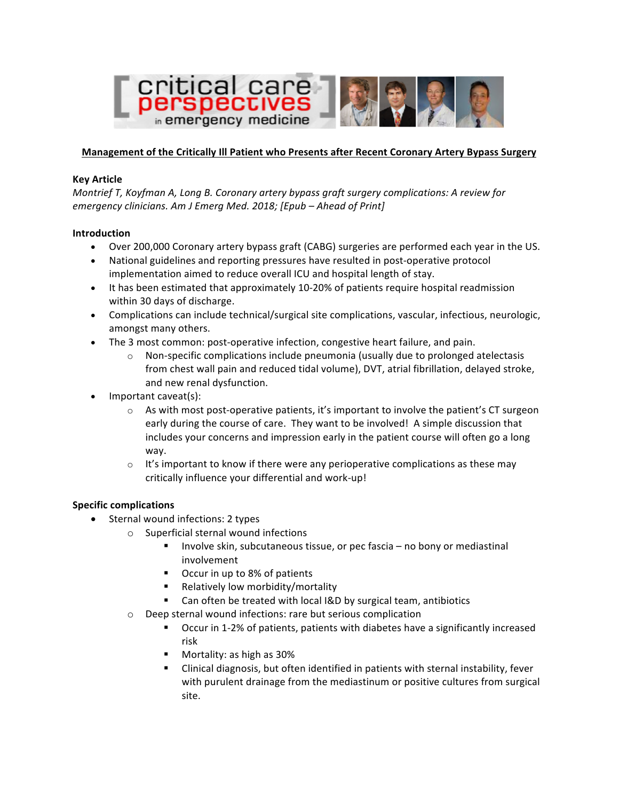

## **Management of the Critically III Patient who Presents after Recent Coronary Artery Bypass Surgery**

#### **Key Article**

*Montrief T, Koyfman A, Long B. Coronary artery bypass graft surgery complications: A review for emergency clinicians. Am J Emerg Med. 2018; [Epub – Ahead of Print]*

### **Introduction**

- Over 200,000 Coronary artery bypass graft (CABG) surgeries are performed each year in the US.
- National guidelines and reporting pressures have resulted in post-operative protocol implementation aimed to reduce overall ICU and hospital length of stay.
- It has been estimated that approximately 10-20% of patients require hospital readmission within 30 days of discharge.
- Complications can include technical/surgical site complications, vascular, infectious, neurologic, amongst many others.
- The 3 most common: post-operative infection, congestive heart failure, and pain.
	- $\circ$  Non-specific complications include pneumonia (usually due to prolonged atelectasis from chest wall pain and reduced tidal volume), DVT, atrial fibrillation, delayed stroke, and new renal dysfunction.
- Important caveat(s):
	- $\circ$  As with most post-operative patients, it's important to involve the patient's CT surgeon early during the course of care. They want to be involved! A simple discussion that includes your concerns and impression early in the patient course will often go a long way.
	- $\circ$  It's important to know if there were any perioperative complications as these may critically influence your differential and work-up!

## **Specific complications**

- Sternal wound infections: 2 types
	- $\circ$  Superficial sternal wound infections
		- **•** Involve skin, subcutaneous tissue, or pec fascia  $-$  no bony or mediastinal involvement
		- Occur in up to 8% of patients
		- Relatively low morbidity/mortality
		- Can often be treated with local I&D by surgical team, antibiotics
	- $\circ$  Deep sternal wound infections: rare but serious complication
		- Occur in 1-2% of patients, patients with diabetes have a significantly increased risk
		- Mortality: as high as 30%
		- Clinical diagnosis, but often identified in patients with sternal instability, fever with purulent drainage from the mediastinum or positive cultures from surgical site.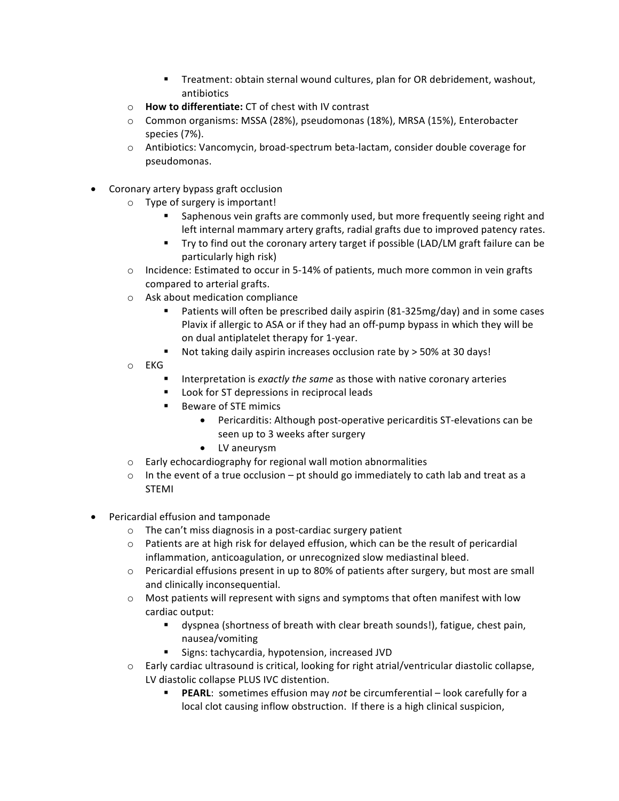- Treatment: obtain sternal wound cultures, plan for OR debridement, washout, antibiotics
- o **How to differentiate:** CT of chest with IV contrast
- $\circ$  Common organisms: MSSA (28%), pseudomonas (18%), MRSA (15%), Enterobacter species (7%).
- $\circ$  Antibiotics: Vancomycin, broad-spectrum beta-lactam, consider double coverage for pseudomonas.
- Coronary artery bypass graft occlusion
	- $\circ$  Type of surgery is important!
		- Saphenous vein grafts are commonly used, but more frequently seeing right and left internal mammary artery grafts, radial grafts due to improved patency rates.
		- Try to find out the coronary artery target if possible (LAD/LM graft failure can be particularly high risk)
	- $\circ$  Incidence: Estimated to occur in 5-14% of patients, much more common in vein grafts compared to arterial grafts.
	- $\circ$  Ask about medication compliance
		- Patients will often be prescribed daily aspirin (81-325mg/day) and in some cases Plavix if allergic to ASA or if they had an off-pump bypass in which they will be on dual antiplatelet therapy for 1-year.
		- Not taking daily aspirin increases occlusion rate by  $>$  50% at 30 days!
	- o EKG
		- Interpretation is *exactly the same* as those with native coronary arteries
		- Look for ST depressions in reciprocal leads
		- Beware of STE mimics
			- Pericarditis: Although post-operative pericarditis ST-elevations can be seen up to 3 weeks after surgery
			- LV aneurysm
	- $\circ$  Early echocardiography for regional wall motion abnormalities
	- $\circ$  In the event of a true occlusion pt should go immediately to cath lab and treat as a STEMI
- Pericardial effusion and tamponade
	- $\circ$  The can't miss diagnosis in a post-cardiac surgery patient
	- $\circ$  Patients are at high risk for delayed effusion, which can be the result of pericardial inflammation, anticoagulation, or unrecognized slow mediastinal bleed.
	- $\circ$  Pericardial effusions present in up to 80% of patients after surgery, but most are small and clinically inconsequential.
	- $\circ$  Most patients will represent with signs and symptoms that often manifest with low cardiac output:
		- dyspnea (shortness of breath with clear breath sounds!), fatigue, chest pain, nausea/vomiting
		- Signs: tachycardia, hypotension, increased JVD
	- $\circ$  Early cardiac ultrasound is critical, looking for right atrial/ventricular diastolic collapse, LV diastolic collapse PLUS IVC distention.
		- **PEARL:** sometimes effusion may *not* be circumferential look carefully for a local clot causing inflow obstruction. If there is a high clinical suspicion,